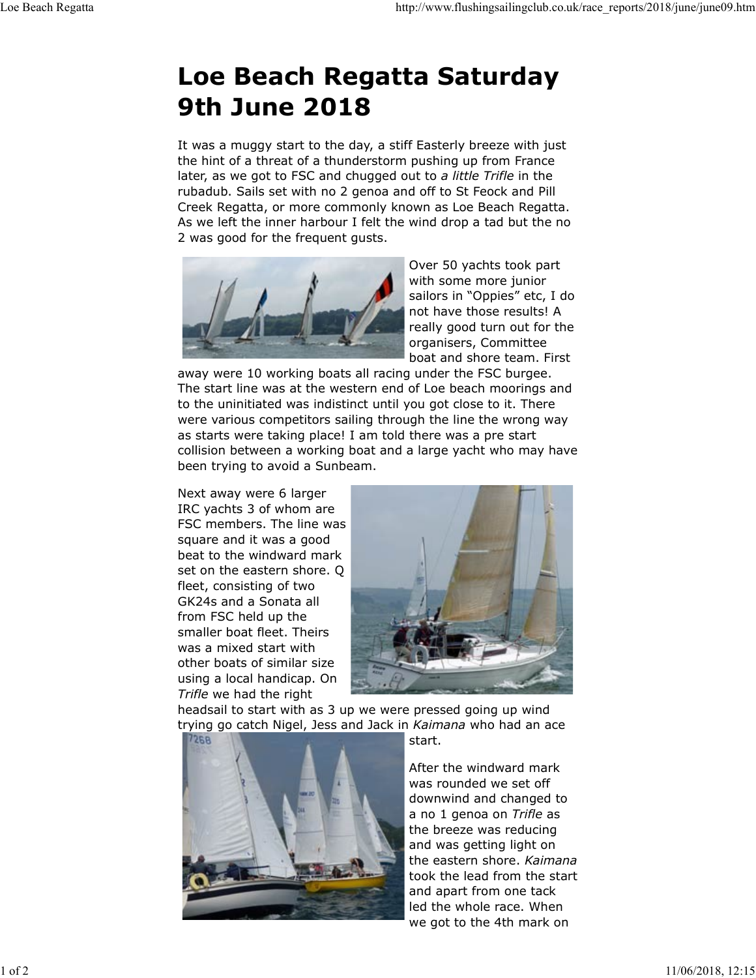## Loe Beach Regatta Saturday 9th June 2018 Loe Beach Regatta http://www.flushingsailingclub.co.uk/race\_reports/2018/june/june09.htm<br>
Loe Beach Regatta Saturday

It was a muggy start to the day, a stiff Easterly breeze with just the hint of a threat of a thunderstorm pushing up from France later, as we got to FSC and chugged out to a little Trifle in the rubadub. Sails set with no 2 genoa and off to St Feock and Pill Creek Regatta, or more commonly known as Loe Beach Regatta. As we left the inner harbour I felt the wind drop a tad but the no 2 was good for the frequent gusts.



Over 50 yachts took part with some more junior sailors in "Oppies" etc, I do not have those results! A really good turn out for the organisers, Committee boat and shore team. First

away were 10 working boats all racing under the FSC burgee. The start line was at the western end of Loe beach moorings and to the uninitiated was indistinct until you got close to it. There were various competitors sailing through the line the wrong way as starts were taking place! I am told there was a pre start collision between a working boat and a large yacht who may have been trying to avoid a Sunbeam.

Next away were 6 larger IRC yachts 3 of whom are FSC members. The line was square and it was a good beat to the windward mark set on the eastern shore. Q fleet, consisting of two GK24s and a Sonata all from FSC held up the smaller boat fleet. Theirs was a mixed start with other boats of similar size using a local handicap. On Trifle we had the right



headsail to start with as 3 up we were pressed going up wind trying go catch Nigel, Jess and Jack in Kaimana who had an ace



start.

After the windward mark was rounded we set off downwind and changed to a no 1 genoa on Trifle as the breeze was reducing and was getting light on the eastern shore. Kaimana took the lead from the start and apart from one tack led the whole race. When we got to the 4th mark on